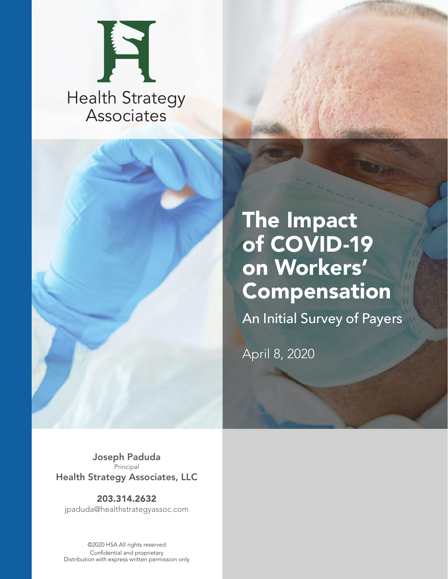



# The Impact of COVID-19 on Workers' Compensation

An Initial Survey of Payers

April 8, 2020

Joseph Paduda **Principal** Health Strategy Associates, LLC

203.314.2632 jpaduda@healthstrategyassoc.com

©2020 HSA All rights reserved Confidential and proprietary Distribution with express written permission only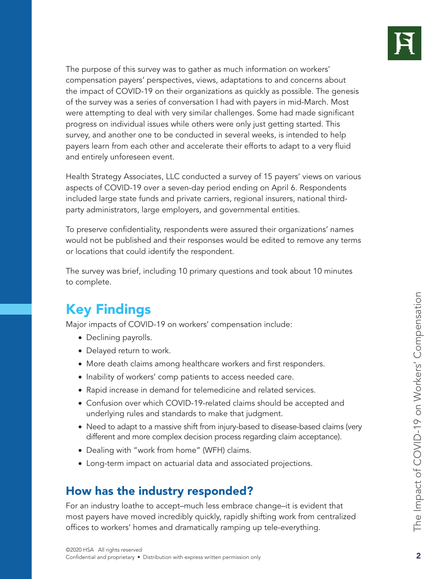

The purpose of this survey was to gather as much information on workers' compensation payers' perspectives, views, adaptations to and concerns about the impact of COVID-19 on their organizations as quickly as possible. The genesis of the survey was a series of conversation I had with payers in mid-March. Most were attempting to deal with very similar challenges. Some had made significant progress on individual issues while others were only just getting started. This survey, and another one to be conducted in several weeks, is intended to help payers learn from each other and accelerate their efforts to adapt to a very fluid and entirely unforeseen event.

Health Strategy Associates, LLC conducted a survey of 15 payers' views on various aspects of COVID-19 over a seven-day period ending on April 6. Respondents included large state funds and private carriers, regional insurers, national thirdparty administrators, large employers, and governmental entities.

To preserve confidentiality, respondents were assured their organizations' names would not be published and their responses would be edited to remove any terms or locations that could identify the respondent.

The survey was brief, including 10 primary questions and took about 10 minutes to complete.

# Key Findings

Major impacts of COVID-19 on workers' compensation include:

- Declining payrolls.
- Delayed return to work.
- More death claims among healthcare workers and first responders.
- Inability of workers' comp patients to access needed care.
- Rapid increase in demand for telemedicine and related services.
- Confusion over which COVID-19-related claims should be accepted and underlying rules and standards to make that judgment.
- Need to adapt to a massive shift from injury-based to disease-based claims (very different and more complex decision process regarding claim acceptance).
- Dealing with "work from home" (WFH) claims.
- Long-term impact on actuarial data and associated projections.

### How has the industry responded?

For an industry loathe to accept–much less embrace change–it is evident that most payers have moved incredibly quickly, rapidly shifting work from centralized offices to workers' homes and dramatically ramping up tele-everything.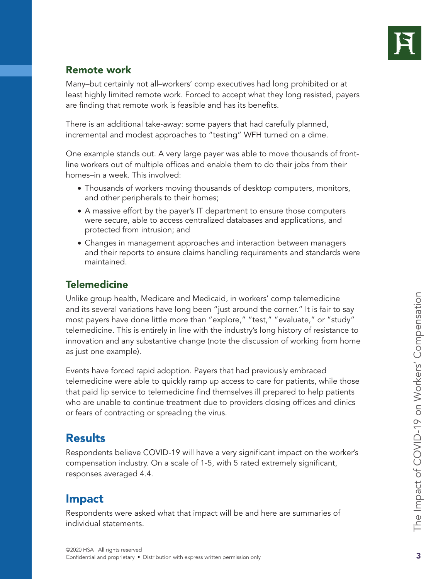

#### Remote work

Many–but certainly not all–workers' comp executives had long prohibited or at least highly limited remote work. Forced to accept what they long resisted, payers are finding that remote work is feasible and has its benefits.

There is an additional take-away: some payers that had carefully planned, incremental and modest approaches to "testing" WFH turned on a dime.

One example stands out. A very large payer was able to move thousands of frontline workers out of multiple offices and enable them to do their jobs from their homes–in a week. This involved:

- Thousands of workers moving thousands of desktop computers, monitors, and other peripherals to their homes;
- A massive effort by the payer's IT department to ensure those computers were secure, able to access centralized databases and applications, and protected from intrusion; and
- Changes in management approaches and interaction between managers and their reports to ensure claims handling requirements and standards were maintained.

#### **Telemedicine**

Unlike group health, Medicare and Medicaid, in workers' comp telemedicine and its several variations have long been "just around the corner." It is fair to say most payers have done little more than "explore," "test," "evaluate," or "study" telemedicine. This is entirely in line with the industry's long history of resistance to innovation and any substantive change (note the discussion of working from home as just one example).

Events have forced rapid adoption. Payers that had previously embraced telemedicine were able to quickly ramp up access to care for patients, while those that paid lip service to telemedicine find themselves ill prepared to help patients who are unable to continue treatment due to providers closing offices and clinics or fears of contracting or spreading the virus.

## **Results**

Respondents believe COVID-19 will have a very significant impact on the worker's compensation industry. On a scale of 1-5, with 5 rated extremely significant, responses averaged 4.4.

## Impact

Respondents were asked what that impact will be and here are summaries of individual statements.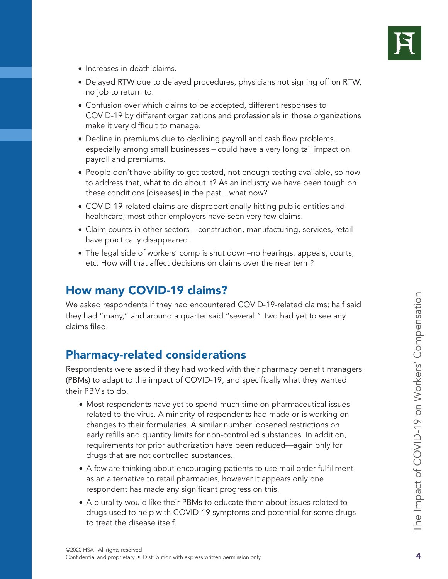

- Increases in death claims.
- Delayed RTW due to delayed procedures, physicians not signing off on RTW, no job to return to.
- Confusion over which claims to be accepted, different responses to COVID-19 by different organizations and professionals in those organizations make it very difficult to manage.
- Decline in premiums due to declining payroll and cash flow problems. especially among small businesses – could have a very long tail impact on payroll and premiums.
- People don't have ability to get tested, not enough testing available, so how to address that, what to do about it? As an industry we have been tough on these conditions [diseases] in the past…what now?
- COVID-19-related claims are disproportionally hitting public entities and healthcare; most other employers have seen very few claims.
- Claim counts in other sectors construction, manufacturing, services, retail have practically disappeared.
- The legal side of workers' comp is shut down–no hearings, appeals, courts, etc. How will that affect decisions on claims over the near term?

## How many COVID-19 claims?

We asked respondents if they had encountered COVID-19-related claims; half said they had "many," and around a quarter said "several." Two had yet to see any claims filed.

### Pharmacy-related considerations

Respondents were asked if they had worked with their pharmacy benefit managers (PBMs) to adapt to the impact of COVID-19, and specifically what they wanted their PBMs to do.

- Most respondents have yet to spend much time on pharmaceutical issues related to the virus. A minority of respondents had made or is working on changes to their formularies. A similar number loosened restrictions on early refills and quantity limits for non-controlled substances. In addition, requirements for prior authorization have been reduced—again only for drugs that are not controlled substances.
- A few are thinking about encouraging patients to use mail order fulfillment as an alternative to retail pharmacies, however it appears only one respondent has made any significant progress on this.
- A plurality would like their PBMs to educate them about issues related to drugs used to help with COVID-19 symptoms and potential for some drugs to treat the disease itself.